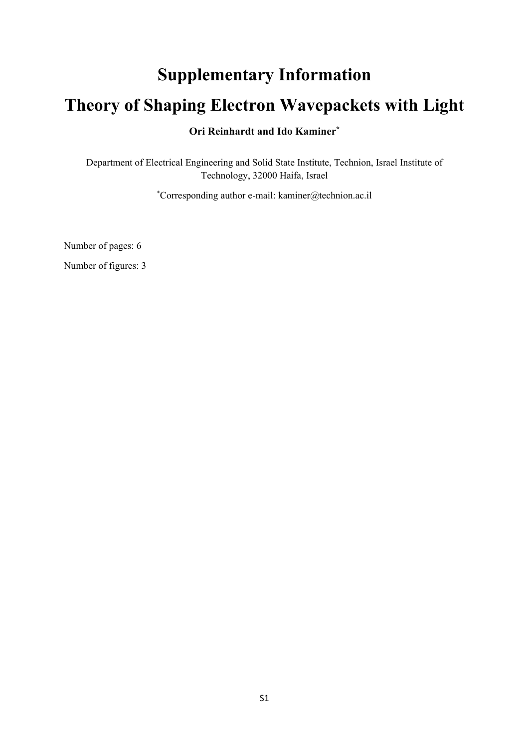# **Supplementary Information Theory of Shaping Electron Wavepackets with Light Ori Reinhardt and Ido Kaminer\***

Department of Electrical Engineering and Solid State Institute, Technion, Israel Institute of Technology, 32000 Haifa, Israel

\* Corresponding author e-mail: kaminer@technion.ac.il

Number of pages: 6

Number of figures: 3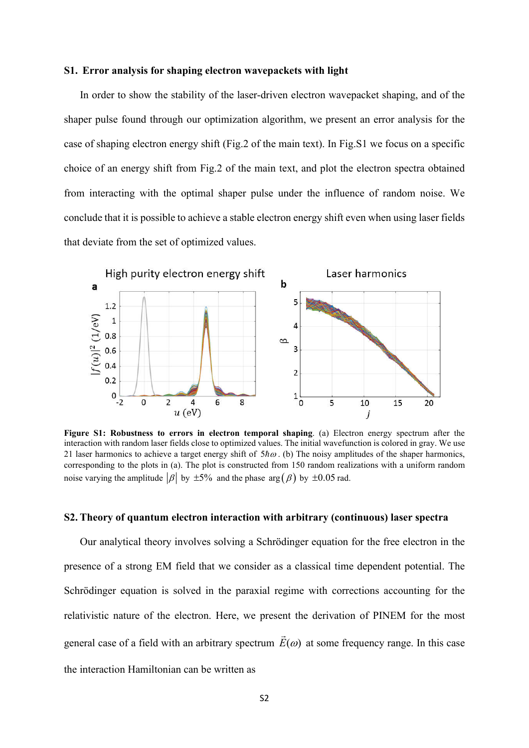#### **S1. Error analysis for shaping electron wavepackets with light**

In order to show the stability of the laser-driven electron wavepacket shaping, and of the shaper pulse found through our optimization algorithm, we present an error analysis for the case of shaping electron energy shift (Fig.2 of the main text). In Fig.S1 we focus on a specific choice of an energy shift from Fig.2 of the main text, and plot the electron spectra obtained from interacting with the optimal shaper pulse under the influence of random noise. We conclude that it is possible to achieve a stable electron energy shift even when using laser fields that deviate from the set of optimized values.



**Figure S1: Robustness to errors in electron temporal shaping**. (a) Electron energy spectrum after the interaction with random laser fields close to optimized values. The initial wavefunction is colored in gray. We use 21 laser harmonics to achieve a target energy shift of  $5 \hbar \omega$ . (b) The noisy amplitudes of the shaper harmonics, corresponding to the plots in (a). The plot is constructed from 150 random realizations with a uniform random noise varying the amplitude  $|\beta|$  by  $\pm 5\%$  and the phase arg  $(\beta)$  by  $\pm 0.05$  rad.

### **S2. Theory of quantum electron interaction with arbitrary (continuous) laser spectra**

Our analytical theory involves solving a Schrödinger equation for the free electron in the presence of a strong EM field that we consider as a classical time dependent potential. The Schrödinger equation is solved in the paraxial regime with corrections accounting for the relativistic nature of the electron. Here, we present the derivation of PINEM for the most general case of a field with an arbitrary spectrum  $\vec{E}(\omega)$  at some frequency range. In this case the interaction Hamiltonian can be written as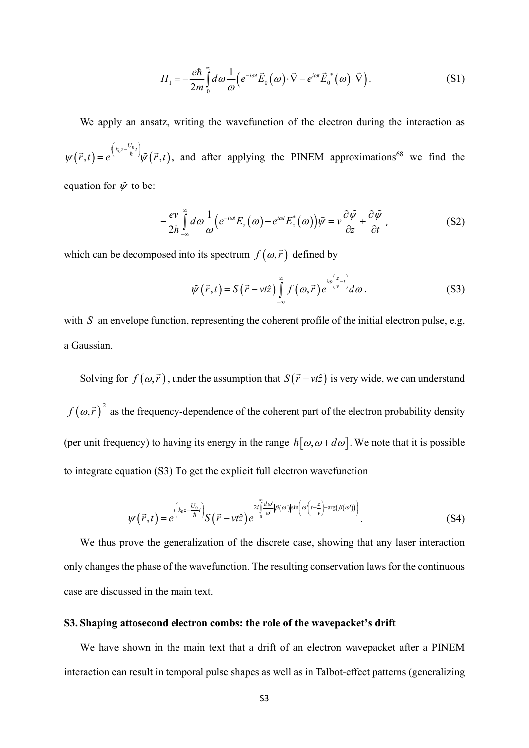$$
H_1 = -\frac{e\hbar}{2m} \int_0^\infty d\omega \frac{1}{\omega} \Big( e^{-i\omega t} \vec{E}_0(\omega) \cdot \vec{\nabla} - e^{i\omega t} \vec{E}_0^*(\omega) \cdot \vec{\nabla} \Big). \tag{S1}
$$

We apply an ansatz, writing the wavefunction of the electron during the interaction as  $(\vec{r},t)=e^{i\left(k_0z-\frac{C_0}{\hbar}t\right)}\tilde{\psi}\left(\vec{r},t\right)$  $i\left(k_{0}z-\frac{U_{0}}{t}\right)$  $\psi(\vec{r},t) = e^{i\left(k_0 z - \frac{U_0}{\hbar}t\right)} \tilde{\psi}(\vec{r},t)$ , and after applying the PINEM approximations<sup>68</sup> we find the equation for  $\tilde{\psi}$  to be:

$$
-\frac{ev}{2\hbar}\int_{-\infty}^{\infty}d\omega\frac{1}{\omega}\Big(e^{-i\omega t}E_z(\omega)-e^{i\omega t}E_z^*(\omega)\Big)\tilde{\psi}=v\frac{\partial\tilde{\psi}}{\partial z}+\frac{\partial\tilde{\psi}}{\partial t},\qquad (S2)
$$

which can be decomposed into its spectrum  $f(\omega, \vec{r})$  defined by

$$
\tilde{\psi}\left(\vec{r},t\right) = S\left(\vec{r}-vt\hat{z}\right) \int_{-\infty}^{\infty} f\left(\omega,\vec{r}\right) e^{i\omega\left(\frac{z}{v}-t\right)} d\omega.
$$
\n(S3)

with *S* an envelope function, representing the coherent profile of the initial electron pulse, e.g, a Gaussian.

Solving for  $f(\omega, \vec{r})$ , under the assumption that  $S(\vec{r} - vt\hat{z})$  is very wide, we can understand  $f(\omega, \vec{r})^2$  as the frequency-dependence of the coherent part of the electron probability density (per unit frequency) to having its energy in the range  $\hbar[\omega,\omega+d\omega]$ . We note that it is possible to integrate equation (S3) To get the explicit full electron wavefunction

$$
\psi(\vec{r},t) = e^{i\left(k_0 z - \frac{U_0}{\hbar}t\right)} S(\vec{r} - vt\hat{z}) e^{-2i\int_0^{\infty} \frac{d\omega'}{\omega'} |\beta(\omega')|\sin\left(\omega\left(t - \frac{z}{\nu}\right) - \arg\left(\beta(\omega')\right)\right)}.
$$
\n(S4)

We thus prove the generalization of the discrete case, showing that any laser interaction only changes the phase of the wavefunction. The resulting conservation laws for the continuous case are discussed in the main text.

### **S3. Shaping attosecond electron combs: the role of the wavepacket's drift**

We have shown in the main text that a drift of an electron wavepacket after a PINEM interaction can result in temporal pulse shapes as well as in Talbot-effect patterns (generalizing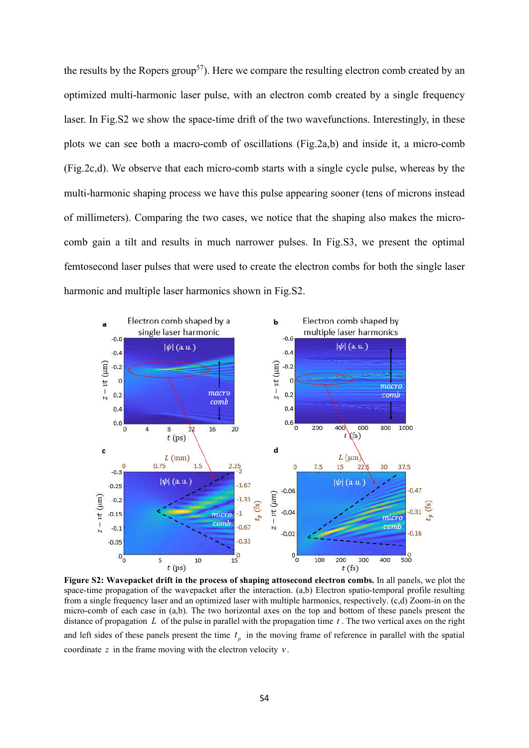the results by the Ropers group<sup>57</sup>). Here we compare the resulting electron comb created by an optimized multi-harmonic laser pulse, with an electron comb created by a single frequency laser. In Fig.S2 we show the space-time drift of the two wavefunctions. Interestingly, in these plots we can see both a macro-comb of oscillations (Fig.2a,b) and inside it, a micro-comb (Fig.2c,d). We observe that each micro-comb starts with a single cycle pulse, whereas by the multi-harmonic shaping process we have this pulse appearing sooner (tens of microns instead of millimeters). Comparing the two cases, we notice that the shaping also makes the microcomb gain a tilt and results in much narrower pulses. In Fig.S3, we present the optimal femtosecond laser pulses that were used to create the electron combs for both the single laser harmonic and multiple laser harmonics shown in Fig.S2.



**Figure S2: Wavepacket drift in the process of shaping attosecond electron combs.** In all panels, we plot the space-time propagation of the wavepacket after the interaction. (a,b) Electron spatio-temporal profile resulting from a single frequency laser and an optimized laser with multiple harmonics, respectively. (c,d) Zoom-in on the micro-comb of each case in (a,b). The two horizontal axes on the top and bottom of these panels present the distance of propagation *L* of the pulse in parallel with the propagation time *t* . The two vertical axes on the right and left sides of these panels present the time  $t<sub>p</sub>$  in the moving frame of reference in parallel with the spatial coordinate *z* in the frame moving with the electron velocity *v*.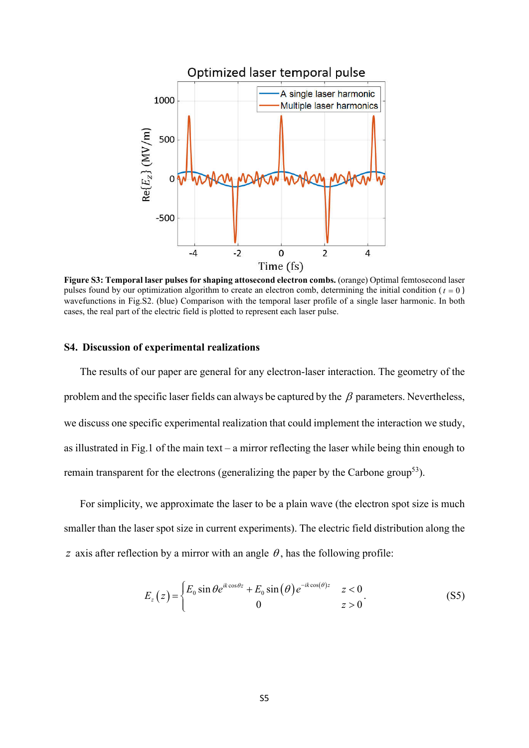

**Figure S3: Temporal laser pulses for shaping attosecond electron combs.** (orange) Optimal femtosecond laser pulses found by our optimization algorithm to create an electron comb, determining the initial condition ( $t = 0$ ) wavefunctions in Fig.S2. (blue) Comparison with the temporal laser profile of a single laser harmonic. In both cases, the real part of the electric field is plotted to represent each laser pulse.

## **S4. Discussion of experimental realizations**

The results of our paper are general for any electron-laser interaction. The geometry of the problem and the specific laser fields can always be captured by the  $\beta$  parameters. Nevertheless, we discuss one specific experimental realization that could implement the interaction we study, as illustrated in Fig.1 of the main text – a mirror reflecting the laser while being thin enough to remain transparent for the electrons (generalizing the paper by the Carbone group<sup>53</sup>).

For simplicity, we approximate the laser to be a plain wave (the electron spot size is much smaller than the laser spot size in current experiments). The electric field distribution along the *z* axis after reflection by a mirror with an angle  $\theta$ , has the following profile:

$$
E_z(z) = \begin{cases} E_0 \sin \theta e^{ik \cos \theta z} + E_0 \sin(\theta) e^{-ik \cos(\theta) z} & z < 0 \\ 0 & z > 0 \end{cases} \tag{S5}
$$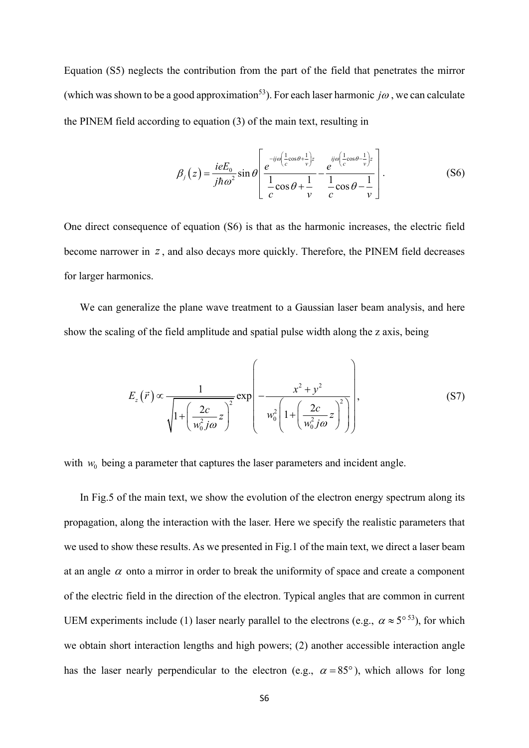Equation (S5) neglects the contribution from the part of the field that penetrates the mirror (which was shown to be a good approximation<sup>53</sup>). For each laser harmonic *jo*, we can calculate the PINEM field according to equation (3) of the main text, resulting in

$$
\beta_j(z) = \frac{ieE_0}{j\hbar\omega^2} \sin\theta \left[ \frac{e^{-ij\omega\left(\frac{1}{c}\cos\theta + \frac{1}{v}\right)z}}{\frac{1}{c}\cos\theta + \frac{1}{v}} - \frac{e^{ij\omega\left(\frac{1}{c}\cos\theta - \frac{1}{v}\right)z}}{\frac{1}{c}\cos\theta - \frac{1}{v}} \right].
$$
\n(S6)

One direct consequence of equation (S6) is that as the harmonic increases, the electric field become narrower in *z*, and also decays more quickly. Therefore, the PINEM field decreases for larger harmonics.

We can generalize the plane wave treatment to a Gaussian laser beam analysis, and here show the scaling of the field amplitude and spatial pulse width along the z axis, being

$$
E_z(\vec{r}) \propto \frac{1}{\sqrt{1 + \left(\frac{2c}{w_0^2 j\omega} z\right)^2}} \exp\left(-\frac{x^2 + y^2}{w_0^2 \left(1 + \left(\frac{2c}{w_0^2 j\omega} z\right)^2\right)}\right),\tag{S7}
$$

with  $w_0$  being a parameter that captures the laser parameters and incident angle.

In Fig.5 of the main text, we show the evolution of the electron energy spectrum along its propagation, along the interaction with the laser. Here we specify the realistic parameters that we used to show these results. As we presented in Fig.1 of the main text, we direct a laser beam at an angle  $\alpha$  onto a mirror in order to break the uniformity of space and create a component of the electric field in the direction of the electron. Typical angles that are common in current UEM experiments include (1) laser nearly parallel to the electrons (e.g.,  $\alpha \approx 5^{\circ 53}$ ), for which we obtain short interaction lengths and high powers; (2) another accessible interaction angle has the laser nearly perpendicular to the electron (e.g.,  $\alpha = 85^{\circ}$ ), which allows for long